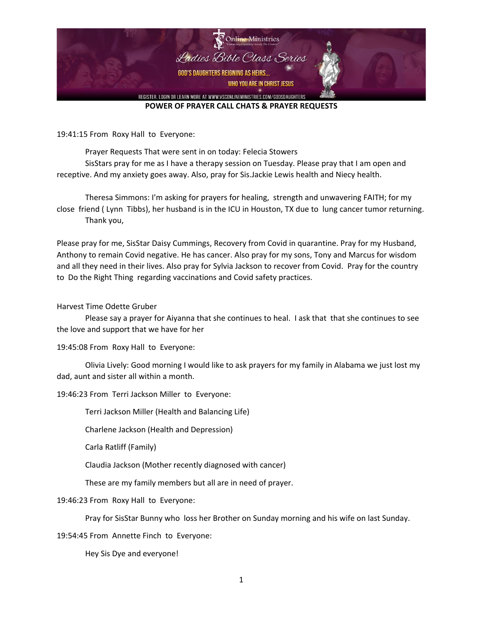

19:41:15 From Roxy Hall to Everyone:

Prayer Requests That were sent in on today: Felecia Stowers SisStars pray for me as I have a therapy session on Tuesday. Please pray that I am open and

receptive. And my anxiety goes away. Also, pray for Sis.Jackie Lewis health and Niecy health.

Theresa Simmons: I'm asking for prayers for healing, strength and unwavering FAITH; for my close friend ( Lynn Tibbs), her husband is in the ICU in Houston, TX due to lung cancer tumor returning. Thank you,

Please pray for me, SisStar Daisy Cummings, Recovery from Covid in quarantine. Pray for my Husband, Anthony to remain Covid negative. He has cancer. Also pray for my sons, Tony and Marcus for wisdom and all they need in their lives. Also pray for Sylvia Jackson to recover from Covid. Pray for the country to Do the Right Thing regarding vaccinations and Covid safety practices.

Harvest Time Odette Gruber

Please say a prayer for Aiyanna that she continues to heal. I ask that that she continues to see the love and support that we have for her

19:45:08 From Roxy Hall to Everyone:

Olivia Lively: Good morning I would like to ask prayers for my family in Alabama we just lost my dad, aunt and sister all within a month.

19:46:23 From Terri Jackson Miller to Everyone:

Terri Jackson Miller (Health and Balancing Life)

Charlene Jackson (Health and Depression)

Carla Ratliff (Family)

Claudia Jackson (Mother recently diagnosed with cancer)

These are my family members but all are in need of prayer.

19:46:23 From Roxy Hall to Everyone:

Pray for SisStar Bunny who loss her Brother on Sunday morning and his wife on last Sunday.

19:54:45 From Annette Finch to Everyone:

Hey Sis Dye and everyone!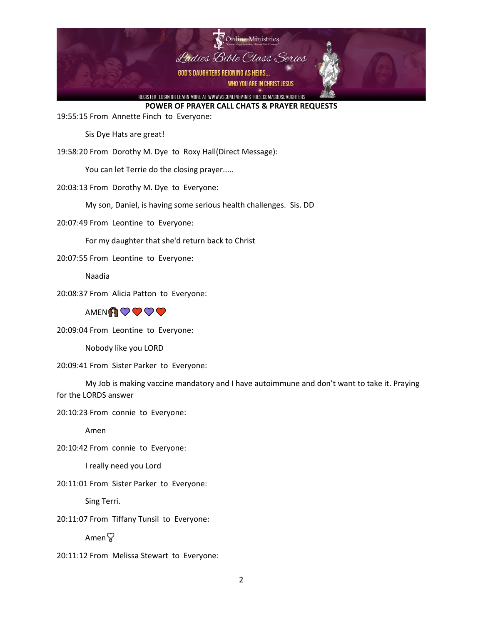

19:55:15 From Annette Finch to Everyone:

Sis Dye Hats are great!

19:58:20 From Dorothy M. Dye to Roxy Hall(Direct Message):

You can let Terrie do the closing prayer.....

20:03:13 From Dorothy M. Dye to Everyone:

My son, Daniel, is having some serious health challenges. Sis. DD

20:07:49 From Leontine to Everyone:

For my daughter that she'd return back to Christ

20:07:55 From Leontine to Everyone:

Naadia

20:08:37 From Alicia Patton to Everyone:



20:09:04 From Leontine to Everyone:

Nobody like you LORD

20:09:41 From Sister Parker to Everyone:

My Job is making vaccine mandatory and I have autoimmune and don't want to take it. Praying for the LORDS answer

20:10:23 From connie to Everyone:

Amen

20:10:42 From connie to Everyone:

I really need you Lord

20:11:01 From Sister Parker to Everyone:

Sing Terri.

20:11:07 From Tiffany Tunsil to Everyone:

 $A$ men $\heartsuit$ 

20:11:12 From Melissa Stewart to Everyone: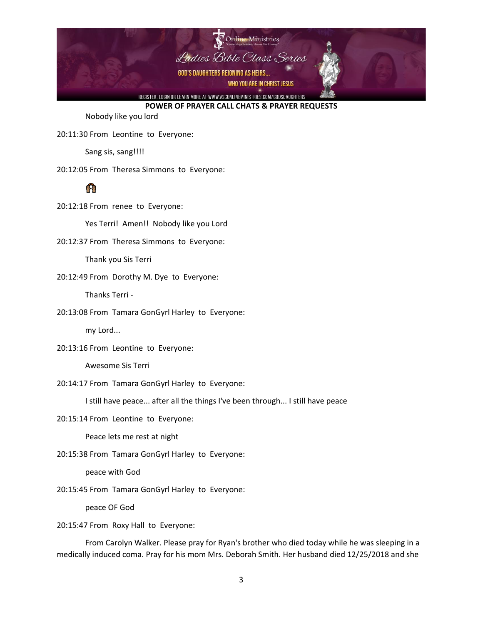

Nobody like you lord

20:11:30 From Leontine to Everyone:

Sang sis, sang!!!!

20:12:05 From Theresa Simmons to Everyone:

# 怀

20:12:18 From renee to Everyone:

Yes Terri! Amen!! Nobody like you Lord

20:12:37 From Theresa Simmons to Everyone:

Thank you Sis Terri

20:12:49 From Dorothy M. Dye to Everyone:

Thanks Terri -

20:13:08 From Tamara GonGyrl Harley to Everyone:

my Lord...

20:13:16 From Leontine to Everyone:

Awesome Sis Terri

20:14:17 From Tamara GonGyrl Harley to Everyone:

I still have peace... after all the things I've been through... I still have peace

20:15:14 From Leontine to Everyone:

Peace lets me rest at night

20:15:38 From Tamara GonGyrl Harley to Everyone:

peace with God

20:15:45 From Tamara GonGyrl Harley to Everyone:

peace OF God

20:15:47 From Roxy Hall to Everyone:

From Carolyn Walker. Please pray for Ryan's brother who died today while he was sleeping in a medically induced coma. Pray for his mom Mrs. Deborah Smith. Her husband died 12/25/2018 and she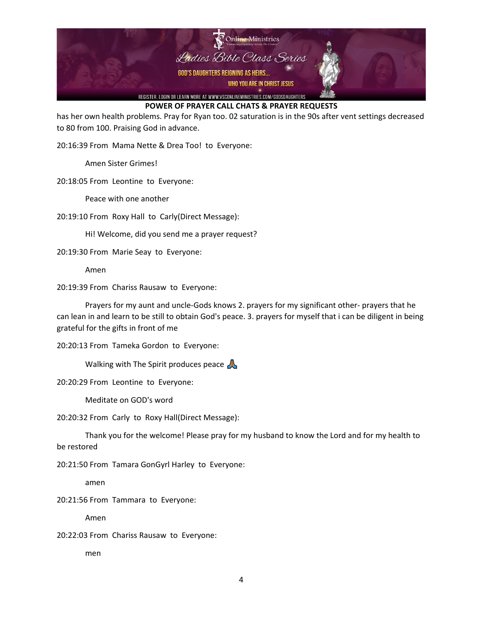

has her own health problems. Pray for Ryan too. 02 saturation is in the 90s after vent settings decreased to 80 from 100. Praising God in advance.

20:16:39 From Mama Nette & Drea Too! to Everyone:

Amen Sister Grimes!

20:18:05 From Leontine to Everyone:

Peace with one another

20:19:10 From Roxy Hall to Carly(Direct Message):

Hi! Welcome, did you send me a prayer request?

20:19:30 From Marie Seay to Everyone:

Amen

20:19:39 From Chariss Rausaw to Everyone:

Prayers for my aunt and uncle-Gods knows 2. prayers for my significant other- prayers that he can lean in and learn to be still to obtain God's peace. 3. prayers for myself that i can be diligent in being grateful for the gifts in front of me

20:20:13 From Tameka Gordon to Everyone:

Walking with The Spirit produces peace  $\mathbb A$ 

20:20:29 From Leontine to Everyone:

Meditate on GOD's word

20:20:32 From Carly to Roxy Hall(Direct Message):

Thank you for the welcome! Please pray for my husband to know the Lord and for my health to be restored

20:21:50 From Tamara GonGyrl Harley to Everyone:

amen

20:21:56 From Tammara to Everyone:

Amen

20:22:03 From Chariss Rausaw to Everyone:

men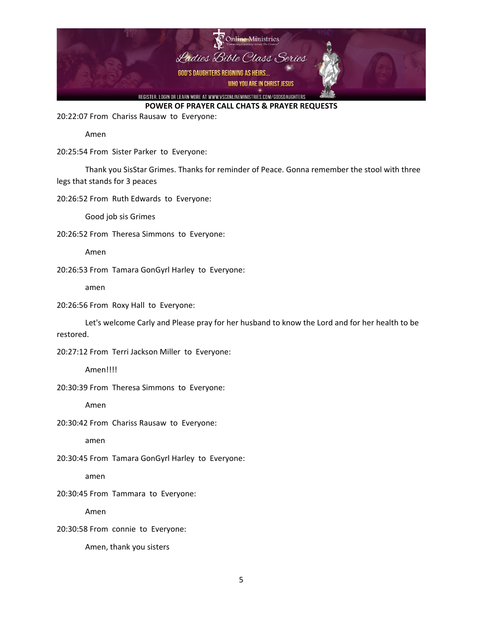

20:22:07 From Chariss Rausaw to Everyone:

Amen

20:25:54 From Sister Parker to Everyone:

Thank you SisStar Grimes. Thanks for reminder of Peace. Gonna remember the stool with three legs that stands for 3 peaces

20:26:52 From Ruth Edwards to Everyone:

Good job sis Grimes

20:26:52 From Theresa Simmons to Everyone:

Amen

20:26:53 From Tamara GonGyrl Harley to Everyone:

amen

20:26:56 From Roxy Hall to Everyone:

Let's welcome Carly and Please pray for her husband to know the Lord and for her health to be restored.

20:27:12 From Terri Jackson Miller to Everyone:

Amen!!!!

20:30:39 From Theresa Simmons to Everyone:

Amen

20:30:42 From Chariss Rausaw to Everyone:

amen

20:30:45 From Tamara GonGyrl Harley to Everyone:

amen

20:30:45 From Tammara to Everyone:

Amen

20:30:58 From connie to Everyone:

Amen, thank you sisters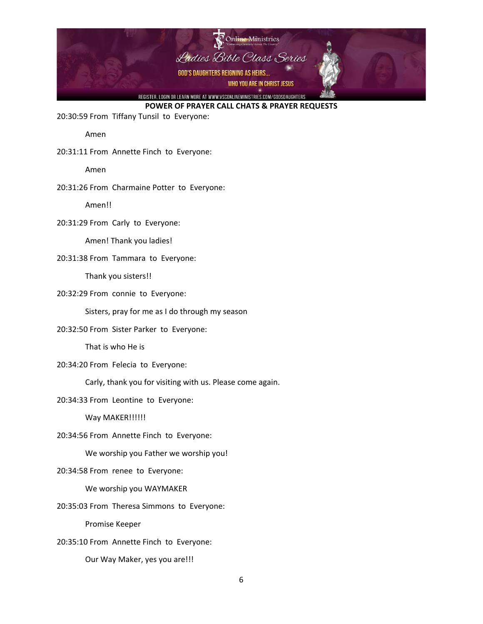

20:30:59 From Tiffany Tunsil to Everyone:

Amen

20:31:11 From Annette Finch to Everyone:

Amen

20:31:26 From Charmaine Potter to Everyone:

Amen!!

20:31:29 From Carly to Everyone:

Amen! Thank you ladies!

#### 20:31:38 From Tammara to Everyone:

Thank you sisters!!

20:32:29 From connie to Everyone:

Sisters, pray for me as I do through my season

20:32:50 From Sister Parker to Everyone:

That is who He is

20:34:20 From Felecia to Everyone:

Carly, thank you for visiting with us. Please come again.

20:34:33 From Leontine to Everyone:

Way MAKER!!!!!!

20:34:56 From Annette Finch to Everyone:

We worship you Father we worship you!

20:34:58 From renee to Everyone:

We worship you WAYMAKER

20:35:03 From Theresa Simmons to Everyone:

Promise Keeper

20:35:10 From Annette Finch to Everyone:

Our Way Maker, yes you are!!!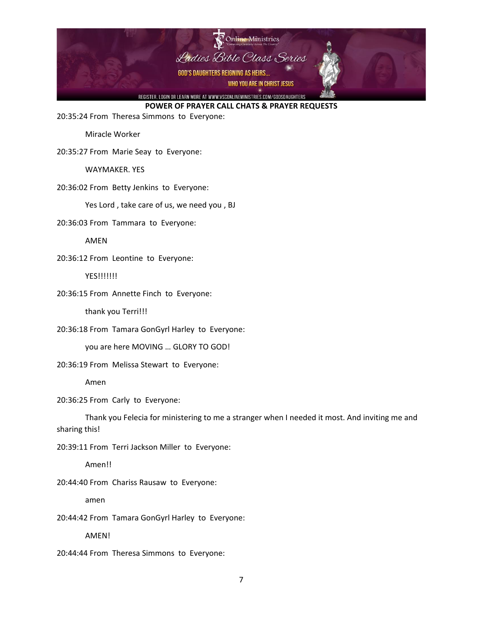

20:35:24 From Theresa Simmons to Everyone:

Miracle Worker

20:35:27 From Marie Seay to Everyone:

WAYMAKER. YES

20:36:02 From Betty Jenkins to Everyone:

Yes Lord, take care of us, we need you, BJ

20:36:03 From Tammara to Everyone:

AMEN

20:36:12 From Leontine to Everyone:

YES!!!!!!!

20:36:15 From Annette Finch to Everyone:

thank you Terri!!!

20:36:18 From Tamara GonGyrl Harley to Everyone:

you are here MOVING … GLORY TO GOD!

20:36:19 From Melissa Stewart to Everyone:

Amen

20:36:25 From Carly to Everyone:

Thank you Felecia for ministering to me a stranger when I needed it most. And inviting me and sharing this!

20:39:11 From Terri Jackson Miller to Everyone:

Amen!!

20:44:40 From Chariss Rausaw to Everyone:

amen

20:44:42 From Tamara GonGyrl Harley to Everyone:

AMEN!

20:44:44 From Theresa Simmons to Everyone: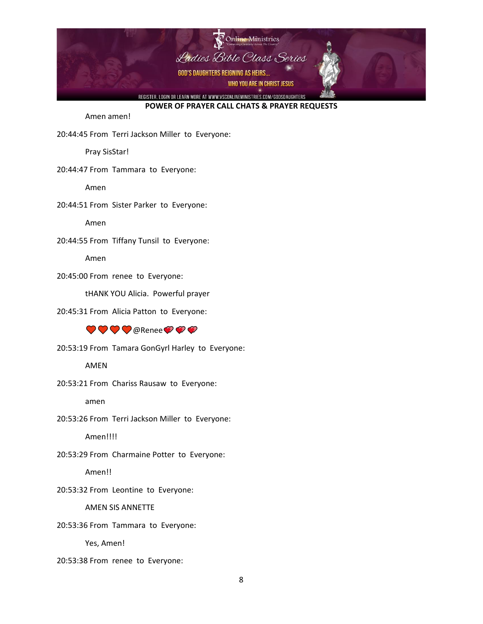

Amen amen!

20:44:45 From Terri Jackson Miller to Everyone:

Pray SisStar!

20:44:47 From Tammara to Everyone:

Amen

20:44:51 From Sister Parker to Everyone:

Amen

20:44:55 From Tiffany Tunsil to Everyone:

Amen

20:45:00 From renee to Everyone:

tHANK YOU Alicia. Powerful prayer

20:45:31 From Alicia Patton to Everyone:

### $\bigcirc \bullet \bigcirc \bullet$

20:53:19 From Tamara GonGyrl Harley to Everyone:

AMEN

20:53:21 From Chariss Rausaw to Everyone:

amen

20:53:26 From Terri Jackson Miller to Everyone:

Amen!!!!

20:53:29 From Charmaine Potter to Everyone:

Amen!!

20:53:32 From Leontine to Everyone:

AMEN SIS ANNETTE

20:53:36 From Tammara to Everyone:

Yes, Amen!

20:53:38 From renee to Everyone: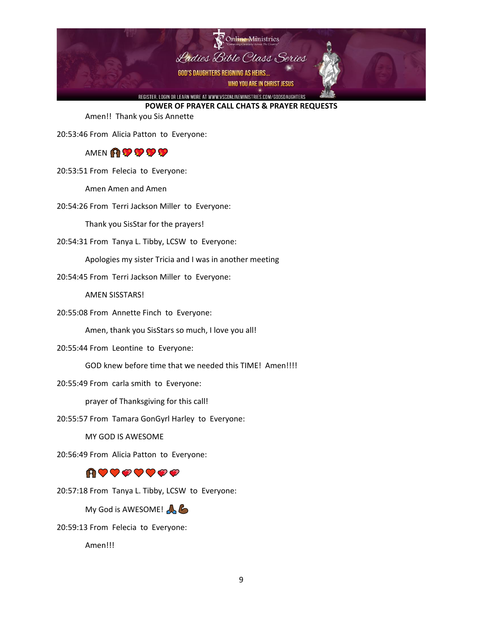

Amen!! Thank you Sis Annette

20:53:46 From Alicia Patton to Everyone:

### AMEN **AR SP SP SP**

20:53:51 From Felecia to Everyone:

Amen Amen and Amen

20:54:26 From Terri Jackson Miller to Everyone:

Thank you SisStar for the prayers!

20:54:31 From Tanya L. Tibby, LCSW to Everyone:

Apologies my sister Tricia and I was in another meeting

20:54:45 From Terri Jackson Miller to Everyone:

AMEN SISSTARS!

20:55:08 From Annette Finch to Everyone:

Amen, thank you SisStars so much, I love you all!

20:55:44 From Leontine to Everyone:

GOD knew before time that we needed this TIME! Amen!!!!

20:55:49 From carla smith to Everyone:

prayer of Thanksgiving for this call!

20:55:57 From Tamara GonGyrl Harley to Everyone:

MY GOD IS AWESOME

20:56:49 From Alicia Patton to Everyone:

### ⋔♥♥♥♥♥♥₽

20:57:18 From Tanya L. Tibby, LCSW to Everyone:

My God is AWESOME!

20:59:13 From Felecia to Everyone:

Amen!!!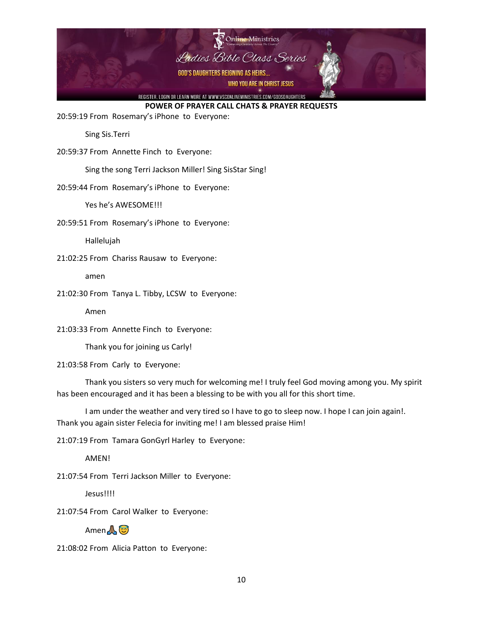

20:59:19 From Rosemary's iPhone to Everyone:

Sing Sis.Terri

20:59:37 From Annette Finch to Everyone:

Sing the song Terri Jackson Miller! Sing SisStar Sing!

20:59:44 From Rosemary's iPhone to Everyone:

Yes he's AWESOME!!!

20:59:51 From Rosemary's iPhone to Everyone:

Hallelujah

21:02:25 From Chariss Rausaw to Everyone:

amen

21:02:30 From Tanya L. Tibby, LCSW to Everyone:

Amen

21:03:33 From Annette Finch to Everyone:

Thank you for joining us Carly!

21:03:58 From Carly to Everyone:

Thank you sisters so very much for welcoming me! I truly feel God moving among you. My spirit has been encouraged and it has been a blessing to be with you all for this short time.

I am under the weather and very tired so I have to go to sleep now. I hope I can join again!. Thank you again sister Felecia for inviting me! I am blessed praise Him!

21:07:19 From Tamara GonGyrl Harley to Everyone:

**AMFN!** 

21:07:54 From Terri Jackson Miller to Everyone:

Jesus!!!!

21:07:54 From Carol Walker to Everyone:

Amen <u>A</u>

21:08:02 From Alicia Patton to Everyone: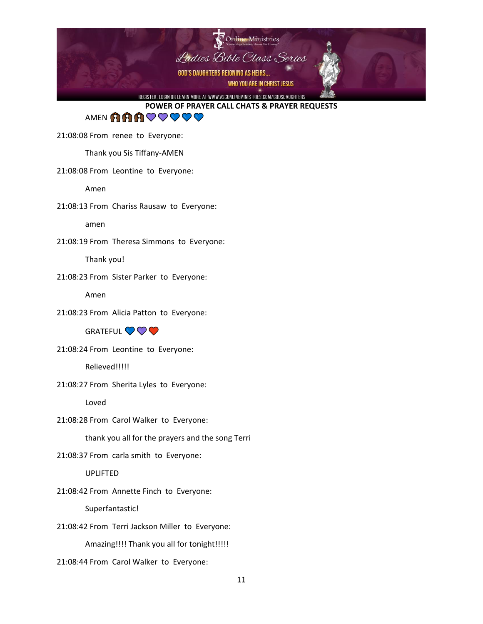

AMENAARCOOO

21:08:08 From renee to Everyone:

Thank you Sis Tiffany-AMEN

### 21:08:08 From Leontine to Everyone:

Amen

21:08:13 From Chariss Rausaw to Everyone:

amen

21:08:19 From Theresa Simmons to Everyone:

Thank you!

21:08:23 From Sister Parker to Everyone:

Amen

21:08:23 From Alicia Patton to Everyone:

**GRATEFUL VVV** 

21:08:24 From Leontine to Everyone:

Relieved!!!!!

21:08:27 From Sherita Lyles to Everyone:

Loved

21:08:28 From Carol Walker to Everyone:

thank you all for the prayers and the song Terri

21:08:37 From carla smith to Everyone:

UPLIFTED

21:08:42 From Annette Finch to Everyone:

Superfantastic!

21:08:42 From Terri Jackson Miller to Everyone:

Amazing!!!! Thank you all for tonight!!!!!

21:08:44 From Carol Walker to Everyone: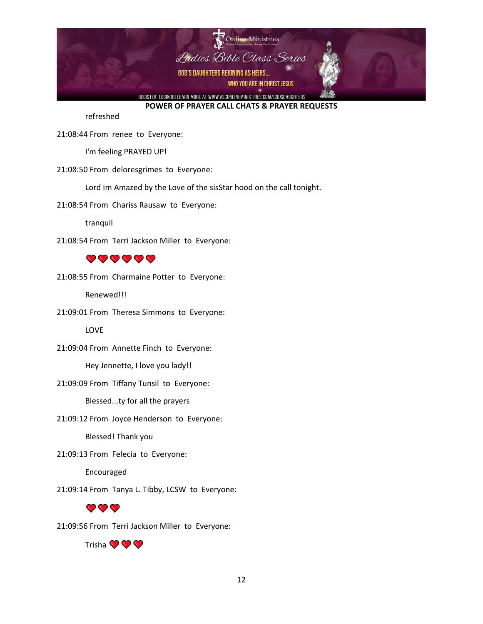

refreshed

21:08:44 From renee to Everyone:

I'm feeling PRAYED UP!

21:08:50 From deloresgrimes to Everyone:

Lord Im Amazed by the Love of the sisStar hood on the call tonight.

21:08:54 From Chariss Rausaw to Everyone:

tranquil

21:08:54 From Terri Jackson Miller to Everyone:

### $\bullet\bullet\bullet\bullet\bullet\bullet$

21:08:55 From Charmaine Potter to Everyone:

Renewed!!!

21:09:01 From Theresa Simmons to Everyone:

LOVE

21:09:04 From Annette Finch to Everyone:

Hey Jennette, I love you lady!!

21:09:09 From Tiffany Tunsil to Everyone:

Blessed...ty for all the prayers

21:09:12 From Joyce Henderson to Everyone:

Blessed! Thank you

21:09:13 From Felecia to Everyone:

Encouraged

21:09:14 From Tanya L. Tibby, LCSW to Everyone:

## $\mathbf{O} \mathbf{O} \mathbf{O}$

21:09:56 From Terri Jackson Miller to Everyone:

Trisha **O**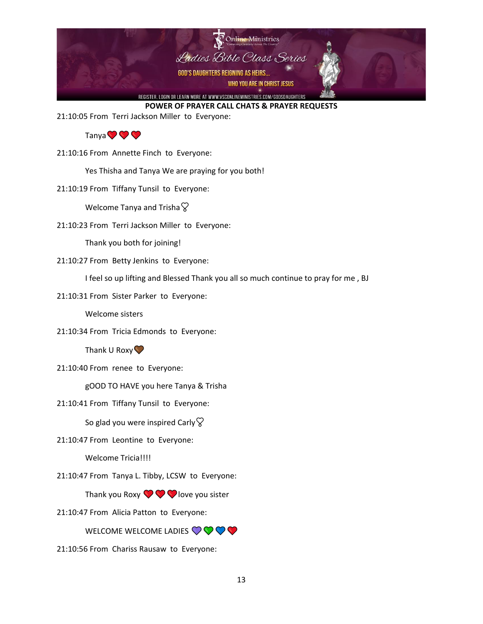

21:10:05 From Terri Jackson Miller to Everyone:

### Tanya **O**

21:10:16 From Annette Finch to Everyone:

Yes Thisha and Tanya We are praying for you both!

21:10:19 From Tiffany Tunsil to Everyone:

Welcome Tanya and Trisha $\heartsuit$ 

21:10:23 From Terri Jackson Miller to Everyone:

Thank you both for joining!

21:10:27 From Betty Jenkins to Everyone:

I feel so up lifting and Blessed Thank you all so much continue to pray for me , BJ

21:10:31 From Sister Parker to Everyone:

Welcome sisters

21:10:34 From Tricia Edmonds to Everyone:

Thank U Roxy $\heartsuit$ 

21:10:40 From renee to Everyone:

gOOD TO HAVE you here Tanya & Trisha

21:10:41 From Tiffany Tunsil to Everyone:

So glad you were inspired Carly  $\heartsuit$ 

21:10:47 From Leontine to Everyone:

Welcome Tricia!!!!

21:10:47 From Tanya L. Tibby, LCSW to Everyone:

Thank you Roxy  $\bigcirc \bigcirc \bigcirc$  love you sister

21:10:47 From Alicia Patton to Everyone:

WELCOME WELCOME LADIES  $\bigcirc \bigcirc \bigcirc \bigcirc$ 

21:10:56 From Chariss Rausaw to Everyone: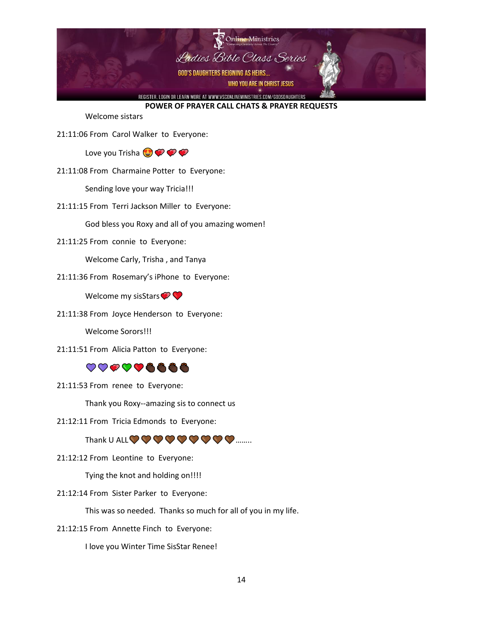

Welcome sistars

21:11:06 From Carol Walker to Everyone:

Love you Trisha  $\bigodot$   $\bigcirc$   $\bigcirc$ 

21:11:08 From Charmaine Potter to Everyone:

Sending love your way Tricia!!!

21:11:15 From Terri Jackson Miller to Everyone:

God bless you Roxy and all of you amazing women!

21:11:25 From connie to Everyone:

Welcome Carly, Trisha , and Tanya

21:11:36 From Rosemary's iPhone to Everyone:

Welcome my sisStars  $\bullet$ 

21:11:38 From Joyce Henderson to Everyone:

Welcome Sorors!!!

21:11:51 From Alicia Patton to Everyone:

## ♡♡♡♡♡◎◎◎◎

21:11:53 From renee to Everyone:

Thank you Roxy--amazing sis to connect us

21:12:11 From Tricia Edmonds to Everyone:

Thank U ALL  $\bigcirc \bigcirc \bigcirc \bigcirc \bigcirc \bigcirc \bigcirc \bigcirc \bigcirc \bigcirc \bigcirc \dots$ 

21:12:12 From Leontine to Everyone:

Tying the knot and holding on!!!!

21:12:14 From Sister Parker to Everyone:

This was so needed. Thanks so much for all of you in my life.

21:12:15 From Annette Finch to Everyone:

I love you Winter Time SisStar Renee!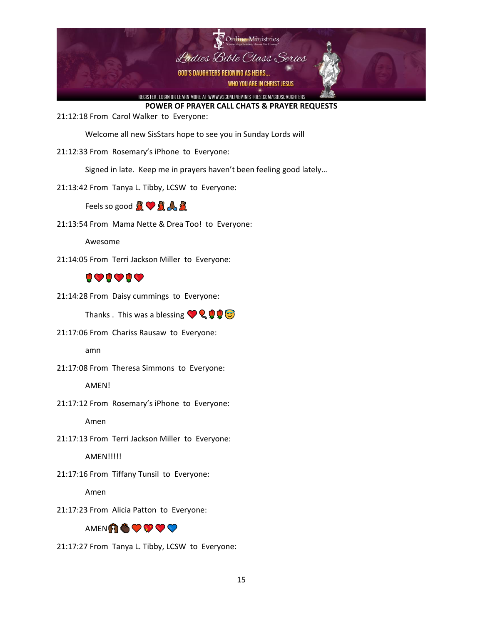

21:12:18 From Carol Walker to Everyone:

Welcome all new SisStars hope to see you in Sunday Lords will

21:12:33 From Rosemary's iPhone to Everyone:

Signed in late. Keep me in prayers haven't been feeling good lately…

21:13:42 From Tanya L. Tibby, LCSW to Everyone:

Feels so good  $R \bigtriangledown R A$ 

21:13:54 From Mama Nette & Drea Too! to Everyone:

Awesome

21:14:05 From Terri Jackson Miller to Everyone:

## 909090

21:14:28 From Daisy cummings to Everyone:

Thanks . This was a blessing  $\bigcirc Q \bigcirc Q$ 

21:17:06 From Chariss Rausaw to Everyone:

amn

21:17:08 From Theresa Simmons to Everyone:

AMEN!

21:17:12 From Rosemary's iPhone to Everyone:

Amen

21:17:13 From Terri Jackson Miller to Everyone:

**AMEN!!!!!!** 

21:17:16 From Tiffany Tunsil to Everyone:

Amen

21:17:23 From Alicia Patton to Everyone:

## AMENASOOO

21:17:27 From Tanya L. Tibby, LCSW to Everyone: